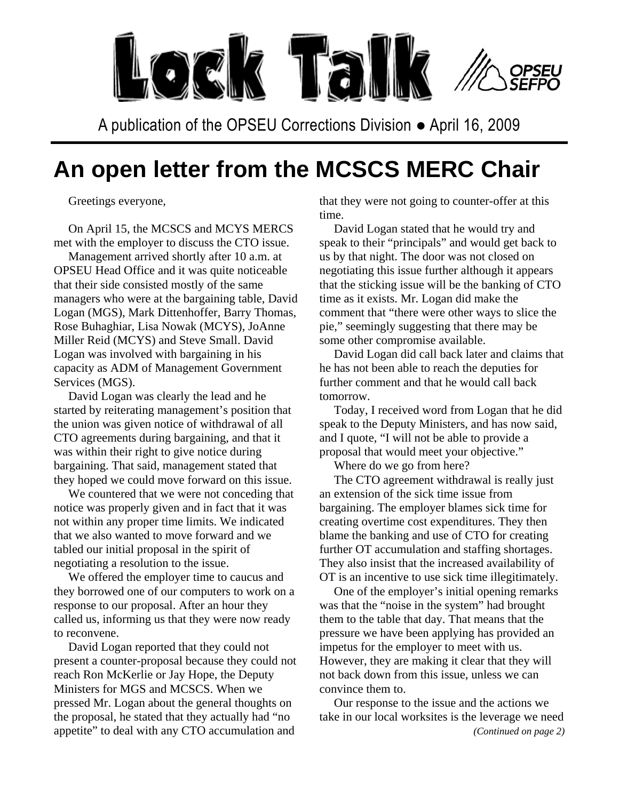

A publication of the OPSEU Corrections Division ● April 16, 2009

## **An open letter from the MCSCS MERC Chair**

Greetings everyone,

On April 15, the MCSCS and MCYS MERCS met with the employer to discuss the CTO issue.

Management arrived shortly after 10 a.m. at OPSEU Head Office and it was quite noticeable that their side consisted mostly of the same managers who were at the bargaining table, David Logan (MGS), Mark Dittenhoffer, Barry Thomas, Rose Buhaghiar, Lisa Nowak (MCYS), JoAnne Miller Reid (MCYS) and Steve Small. David Logan was involved with bargaining in his capacity as ADM of Management Government Services (MGS).

David Logan was clearly the lead and he started by reiterating management's position that the union was given notice of withdrawal of all CTO agreements during bargaining, and that it was within their right to give notice during bargaining. That said, management stated that they hoped we could move forward on this issue.

We countered that we were not conceding that notice was properly given and in fact that it was not within any proper time limits. We indicated that we also wanted to move forward and we tabled our initial proposal in the spirit of negotiating a resolution to the issue.

We offered the employer time to caucus and they borrowed one of our computers to work on a response to our proposal. After an hour they called us, informing us that they were now ready to reconvene.

David Logan reported that they could not present a counter-proposal because they could not reach Ron McKerlie or Jay Hope, the Deputy Ministers for MGS and MCSCS. When we pressed Mr. Logan about the general thoughts on the proposal, he stated that they actually had "no appetite" to deal with any CTO accumulation and

that they were not going to counter-offer at this time.

David Logan stated that he would try and speak to their "principals" and would get back to us by that night. The door was not closed on negotiating this issue further although it appears that the sticking issue will be the banking of CTO time as it exists. Mr. Logan did make the comment that "there were other ways to slice the pie," seemingly suggesting that there may be some other compromise available.

David Logan did call back later and claims that he has not been able to reach the deputies for further comment and that he would call back tomorrow.

Today, I received word from Logan that he did speak to the Deputy Ministers, and has now said, and I quote, "I will not be able to provide a proposal that would meet your objective."

Where do we go from here?

The CTO agreement withdrawal is really just an extension of the sick time issue from bargaining. The employer blames sick time for creating overtime cost expenditures. They then blame the banking and use of CTO for creating further OT accumulation and staffing shortages. They also insist that the increased availability of OT is an incentive to use sick time illegitimately.

One of the employer's initial opening remarks was that the "noise in the system" had brought them to the table that day. That means that the pressure we have been applying has provided an impetus for the employer to meet with us. However, they are making it clear that they will not back down from this issue, unless we can convince them to.

Our response to the issue and the actions we take in our local worksites is the leverage we need